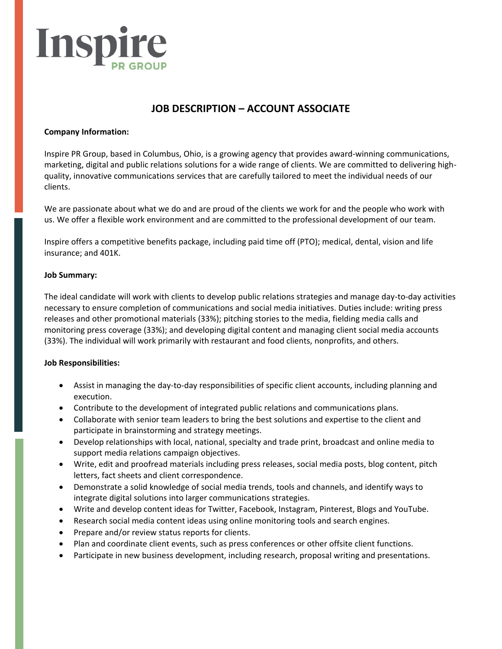

# **JOB DESCRIPTION – ACCOUNT ASSOCIATE**

## **Company Information:**

Inspire PR Group, based in Columbus, Ohio, is a growing agency that provides award-winning communications, marketing, digital and public relations solutions for a wide range of clients. We are committed to delivering highquality, innovative communications services that are carefully tailored to meet the individual needs of our clients.

We are passionate about what we do and are proud of the clients we work for and the people who work with us. We offer a flexible work environment and are committed to the professional development of our team.

Inspire offers a competitive benefits package, including paid time off (PTO); medical, dental, vision and life insurance; and 401K.

### **Job Summary:**

The ideal candidate will work with clients to develop public relations strategies and manage day-to-day activities necessary to ensure completion of communications and social media initiatives. Duties include: writing press releases and other promotional materials (33%); pitching stories to the media, fielding media calls and monitoring press coverage (33%); and developing digital content and managing client social media accounts (33%). The individual will work primarily with restaurant and food clients, nonprofits, and others.

# **Job Responsibilities:**

- Assist in managing the day-to-day responsibilities of specific client accounts, including planning and execution.
- Contribute to the development of integrated public relations and communications plans.
- Collaborate with senior team leaders to bring the best solutions and expertise to the client and participate in brainstorming and strategy meetings.
- Develop relationships with local, national, specialty and trade print, broadcast and online media to support media relations campaign objectives.
- Write, edit and proofread materials including press releases, social media posts, blog content, pitch letters, fact sheets and client correspondence.
- Demonstrate a solid knowledge of social media trends, tools and channels, and identify ways to integrate digital solutions into larger communications strategies.
- Write and develop content ideas for Twitter, Facebook, Instagram, Pinterest, Blogs and YouTube.
- Research social media content ideas using online monitoring tools and search engines.
- Prepare and/or review status reports for clients.
- Plan and coordinate client events, such as press conferences or other offsite client functions.
- Participate in new business development, including research, proposal writing and presentations.